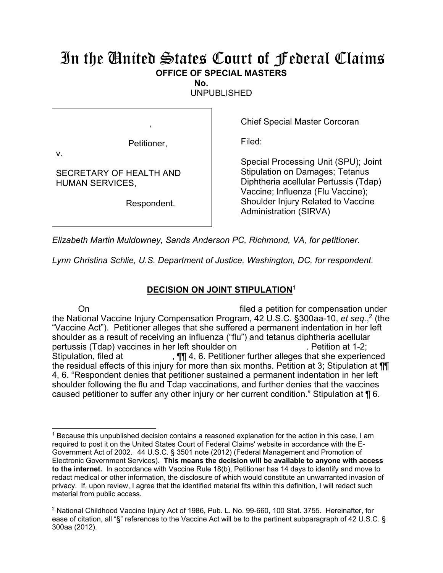## In the United States Court of Federal Claims **OFFICE OF SPECIAL MASTERS**

**No.** 

UNPUBLISHED

Petitioner,

,

v.

 $\overline{a}$ 

SECRETARY OF HEALTH AND HUMAN SERVICES,

Respondent.

Chief Special Master Corcoran

Filed:

Special Processing Unit (SPU); Joint Stipulation on Damages; Tetanus Diphtheria acellular Pertussis (Tdap) Vaccine; Influenza (Flu Vaccine); Shoulder Injury Related to Vaccine Administration (SIRVA)

*Elizabeth Martin Muldowney, Sands Anderson PC, Richmond, VA, for petitioner.* 

*Lynn Christina Schlie, U.S. Department of Justice, Washington, DC, for respondent.* 

## **DECISION ON JOINT STIPULATION**<sup>1</sup>

On filed a petition for compensation under the National Vaccine Injury Compensation Program, 42 U.S.C. §300aa-10, *et seq.*, 2 (the "Vaccine Act"). Petitioner alleges that she suffered a permanent indentation in her left shoulder as a result of receiving an influenza ("flu") and tetanus diphtheria acellular pertussis (Tdap) vaccines in her left shoulder on . Petition at 1-2; Stipulation, filed at ,  $\P\P$  4, 6. Petitioner further alleges that she experienced the residual effects of this injury for more than six months. Petition at 3; Stipulation at ¶¶ 4, 6. "Respondent denies that petitioner sustained a permanent indentation in her left shoulder following the flu and Tdap vaccinations, and further denies that the vaccines caused petitioner to suffer any other injury or her current condition." Stipulation at ¶ 6.

<sup>&</sup>lt;sup>1</sup> Because this unpublished decision contains a reasoned explanation for the action in this case, I am required to post it on the United States Court of Federal Claims' website in accordance with the E-Government Act of 2002. 44 U.S.C. § 3501 note (2012) (Federal Management and Promotion of Electronic Government Services). **This means the decision will be available to anyone with access to the internet.** In accordance with Vaccine Rule 18(b), Petitioner has 14 days to identify and move to redact medical or other information, the disclosure of which would constitute an unwarranted invasion of privacy. If, upon review, I agree that the identified material fits within this definition, I will redact such material from public access.

<sup>&</sup>lt;sup>2</sup> National Childhood Vaccine Injury Act of 1986, Pub. L. No. 99-660, 100 Stat. 3755. Hereinafter, for ease of citation, all "§" references to the Vaccine Act will be to the pertinent subparagraph of 42 U.S.C. § 300aa (2012).